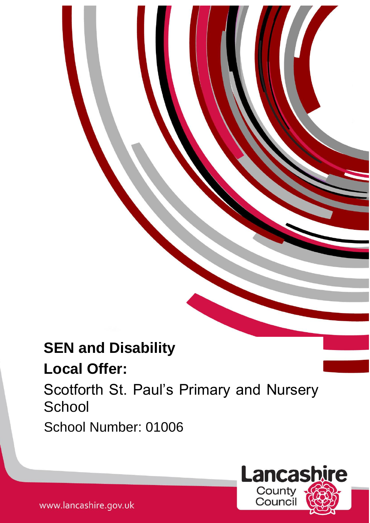# **SEN and Disability**

# **Local Offer:**

Scotforth St. Paul's Primary and Nursery **School** 

1

School Number: 01006

**Lancashire** County Counci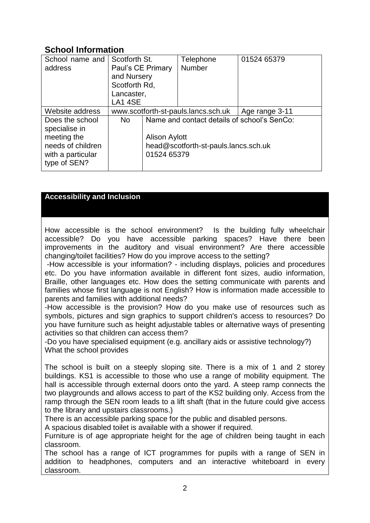# **School Information**

| School name and<br>address                                                                                | Scotforth St.<br>Paul's CE Primary<br>and Nursery<br>Scotforth Rd,<br>Lancaster,<br>LA14SE |                                                                                                                            | Telephone<br>Number                 | 01524 65379    |
|-----------------------------------------------------------------------------------------------------------|--------------------------------------------------------------------------------------------|----------------------------------------------------------------------------------------------------------------------------|-------------------------------------|----------------|
| Website address                                                                                           |                                                                                            |                                                                                                                            | www.scotforth-st-pauls.lancs.sch.uk | Age range 3-11 |
| Does the school<br>specialise in<br>meeting the<br>needs of children<br>with a particular<br>type of SEN? | N <sub>o</sub>                                                                             | Name and contact details of school's SenCo:<br><b>Alison Aylott</b><br>head@scotforth-st-pauls.lancs.sch.uk<br>01524 65379 |                                     |                |

# **Accessibility and Inclusion**

How accessible is the school environment? Is the building fully wheelchair accessible? Do you have accessible parking spaces? Have there been improvements in the auditory and visual environment? Are there accessible changing/toilet facilities? How do you improve access to the setting?

-How accessible is your information? - including displays, policies and procedures etc. Do you have information available in different font sizes, audio information, Braille, other languages etc. How does the setting communicate with parents and families whose first language is not English? How is information made accessible to parents and families with additional needs?

-How accessible is the provision? How do you make use of resources such as symbols, pictures and sign graphics to support children's access to resources? Do you have furniture such as height adjustable tables or alternative ways of presenting activities so that children can access them?

-Do you have specialised equipment (e.g. ancillary aids or assistive technology?) What the school provides

The school is built on a steeply sloping site. There is a mix of 1 and 2 storey buildings. KS1 is accessible to those who use a range of mobility equipment. The hall is accessible through external doors onto the yard. A steep ramp connects the two playgrounds and allows access to part of the KS2 building only. Access from the ramp through the SEN room leads to a lift shaft (that in the future could give access to the library and upstairs classrooms.)

There is an accessible parking space for the public and disabled persons.

A spacious disabled toilet is available with a shower if required.

Furniture is of age appropriate height for the age of children being taught in each classroom.

The school has a range of ICT programmes for pupils with a range of SEN in addition to headphones, computers and an interactive whiteboard in every classroom.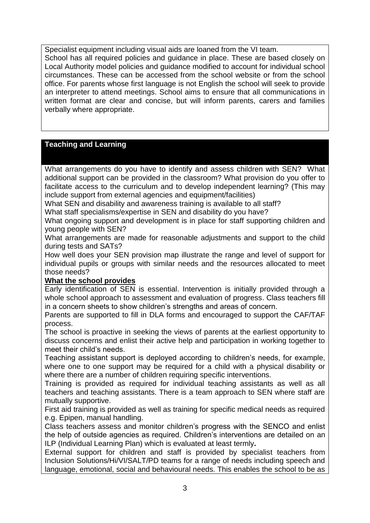Specialist equipment including visual aids are loaned from the VI team. School has all required policies and guidance in place. These are based closely on Local Authority model policies and guidance modified to account for individual school circumstances. These can be accessed from the school website or from the school office. For parents whose first language is not English the school will seek to provide an interpreter to attend meetings. School aims to ensure that all communications in written format are clear and concise, but will inform parents, carers and families verbally where appropriate.

### **Teaching and Learning**

What arrangements do you have to identify and assess children with SEN? What additional support can be provided in the classroom? What provision do you offer to facilitate access to the curriculum and to develop independent learning? (This may include support from external agencies and equipment/facilities)

What SEN and disability and awareness training is available to all staff?

What staff specialisms/expertise in SEN and disability do you have?

What ongoing support and development is in place for staff supporting children and young people with SEN?

What arrangements are made for reasonable adjustments and support to the child during tests and SATs?

How well does your SEN provision map illustrate the range and level of support for individual pupils or groups with similar needs and the resources allocated to meet those needs?

# **What the school provides**

Early identification of SEN is essential. Intervention is initially provided through a whole school approach to assessment and evaluation of progress. Class teachers fill in a concern sheets to show children's strengths and areas of concern.

Parents are supported to fill in DLA forms and encouraged to support the CAF/TAF process.

The school is proactive in seeking the views of parents at the earliest opportunity to discuss concerns and enlist their active help and participation in working together to meet their child's needs.

Teaching assistant support is deployed according to children's needs, for example, where one to one support may be required for a child with a physical disability or where there are a number of children requiring specific interventions.

Training is provided as required for individual teaching assistants as well as all teachers and teaching assistants. There is a team approach to SEN where staff are mutually supportive.

First aid training is provided as well as training for specific medical needs as required e.g. Epipen, manual handling.

Class teachers assess and monitor children's progress with the SENCO and enlist the help of outside agencies as required. Children's interventions are detailed on an ILP (Individual Learning Plan) which is evaluated at least termly**.**

External support for children and staff is provided by specialist teachers from Inclusion Solutions/Hi/VI/SALT/PD teams for a range of needs including speech and language, emotional, social and behavioural needs. This enables the school to be as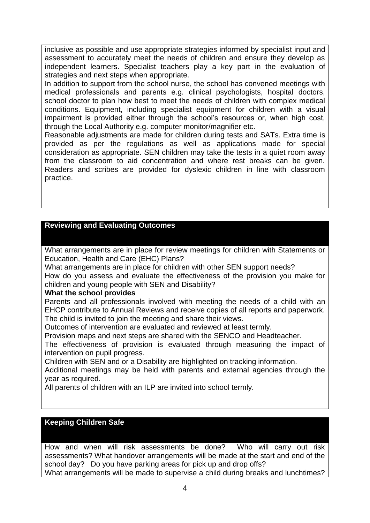inclusive as possible and use appropriate strategies informed by specialist input and assessment to accurately meet the needs of children and ensure they develop as independent learners. Specialist teachers play a key part in the evaluation of strategies and next steps when appropriate.

In addition to support from the school nurse, the school has convened meetings with medical professionals and parents e.g. clinical psychologists, hospital doctors, school doctor to plan how best to meet the needs of children with complex medical conditions. Equipment, including specialist equipment for children with a visual impairment is provided either through the school's resources or, when high cost, through the Local Authority e.g. computer monitor/magnifier etc.

Reasonable adjustments are made for children during tests and SATs. Extra time is provided as per the regulations as well as applications made for special consideration as appropriate. SEN children may take the tests in a quiet room away from the classroom to aid concentration and where rest breaks can be given. Readers and scribes are provided for dyslexic children in line with classroom practice.

# **Reviewing and Evaluating Outcomes**

What arrangements are in place for review meetings for children with Statements or Education, Health and Care (EHC) Plans?

What arrangements are in place for children with other SEN support needs? How do you assess and evaluate the effectiveness of the provision you make for

children and young people with SEN and Disability?

# **What the school provides**

Parents and all professionals involved with meeting the needs of a child with an EHCP contribute to Annual Reviews and receive copies of all reports and paperwork. The child is invited to join the meeting and share their views.

Outcomes of intervention are evaluated and reviewed at least termly.

Provision maps and next steps are shared with the SENCO and Headteacher.

The effectiveness of provision is evaluated through measuring the impact of intervention on pupil progress.

Children with SEN and or a Disability are highlighted on tracking information.

Additional meetings may be held with parents and external agencies through the year as required.

All parents of children with an ILP are invited into school termly.

# **Keeping Children Safe**

How and when will risk assessments be done? Who will carry out risk assessments? What handover arrangements will be made at the start and end of the school day? Do you have parking areas for pick up and drop offs? What arrangements will be made to supervise a child during breaks and lunchtimes?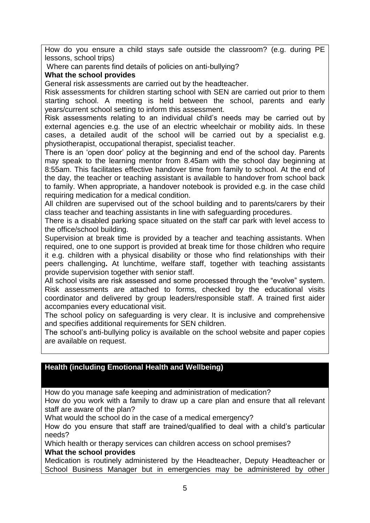How do you ensure a child stays safe outside the classroom? (e.g. during PE lessons, school trips)

Where can parents find details of policies on anti-bullying?

## **What the school provides**

General risk assessments are carried out by the headteacher.

Risk assessments for children starting school with SEN are carried out prior to them starting school. A meeting is held between the school, parents and early years/current school setting to inform this assessment.

Risk assessments relating to an individual child's needs may be carried out by external agencies e.g. the use of an electric wheelchair or mobility aids. In these cases, a detailed audit of the school will be carried out by a specialist e.g. physiotherapist, occupational therapist, specialist teacher.

There is an 'open door' policy at the beginning and end of the school day. Parents may speak to the learning mentor from 8.45am with the school day beginning at 8:55am. This facilitates effective handover time from family to school. At the end of the day, the teacher or teaching assistant is available to handover from school back to family. When appropriate, a handover notebook is provided e.g. in the case child requiring medication for a medical condition.

All children are supervised out of the school building and to parents/carers by their class teacher and teaching assistants in line with safeguarding procedures.

There is a disabled parking space situated on the staff car park with level access to the office/school building.

Supervision at break time is provided by a teacher and teaching assistants. When required, one to one support is provided at break time for those children who require it e.g. children with a physical disability or those who find relationships with their peers challenging**.** At lunchtime, welfare staff, together with teaching assistants provide supervision together with senior staff.

All school visits are risk assessed and some processed through the "evolve" system. Risk assessments are attached to forms, checked by the educational visits coordinator and delivered by group leaders/responsible staff. A trained first aider accompanies every educational visit.

The school policy on safeguarding is very clear. It is inclusive and comprehensive and specifies additional requirements for SEN children.

The school's anti-bullying policy is available on the school website and paper copies are available on request.

# **Health (including Emotional Health and Wellbeing)**

How do you manage safe keeping and administration of medication?

How do you work with a family to draw up a care plan and ensure that all relevant staff are aware of the plan?

What would the school do in the case of a medical emergency?

How do you ensure that staff are trained/qualified to deal with a child's particular needs?

Which health or therapy services can children access on school premises? **What the school provides**

Medication is routinely administered by the Headteacher, Deputy Headteacher or School Business Manager but in emergencies may be administered by other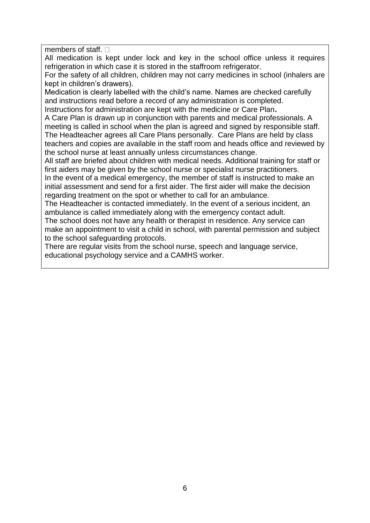members of staff.  $\Box$ 

All medication is kept under lock and key in the school office unless it requires refrigeration in which case it is stored in the staffroom refrigerator.

For the safety of all children, children may not carry medicines in school (inhalers are kept in children's drawers).

Medication is clearly labelled with the child's name. Names are checked carefully and instructions read before a record of any administration is completed.

Instructions for administration are kept with the medicine or Care Plan**.** 

A Care Plan is drawn up in conjunction with parents and medical professionals. A meeting is called in school when the plan is agreed and signed by responsible staff. The Headteacher agrees all Care Plans personally. Care Plans are held by class teachers and copies are available in the staff room and heads office and reviewed by the school nurse at least annually unless circumstances change.

All staff are briefed about children with medical needs. Additional training for staff or first aiders may be given by the school nurse or specialist nurse practitioners.

In the event of a medical emergency, the member of staff is instructed to make an initial assessment and send for a first aider. The first aider will make the decision regarding treatment on the spot or whether to call for an ambulance.

The Headteacher is contacted immediately. In the event of a serious incident, an ambulance is called immediately along with the emergency contact adult.

The school does not have any health or therapist in residence. Any service can make an appointment to visit a child in school, with parental permission and subject to the school safeguarding protocols.

There are regular visits from the school nurse, speech and language service, educational psychology service and a CAMHS worker.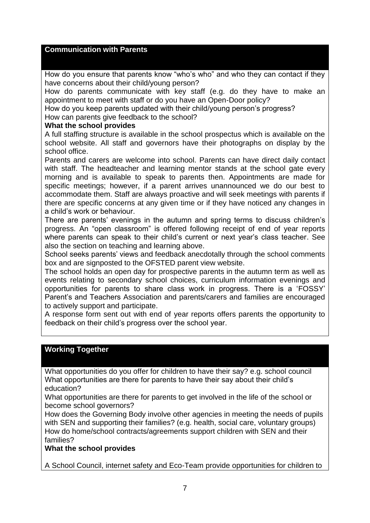#### **Communication with Parents**

How do you ensure that parents know "who's who" and who they can contact if they have concerns about their child/young person?

How do parents communicate with key staff (e.g. do they have to make an appointment to meet with staff or do you have an Open-Door policy?

How do you keep parents updated with their child/young person's progress?

How can parents give feedback to the school?

#### **What the school provides**

A full staffing structure is available in the school prospectus which is available on the school website. All staff and governors have their photographs on display by the school office.

Parents and carers are welcome into school. Parents can have direct daily contact with staff. The headteacher and learning mentor stands at the school gate every morning and is available to speak to parents then. Appointments are made for specific meetings; however, if a parent arrives unannounced we do our best to accommodate them. Staff are always proactive and will seek meetings with parents if there are specific concerns at any given time or if they have noticed any changes in a child's work or behaviour.

There are parents' evenings in the autumn and spring terms to discuss children's progress. An "open classroom" is offered following receipt of end of year reports where parents can speak to their child's current or next year's class teacher. See also the section on teaching and learning above.

School seeks parents' views and feedback anecdotally through the school comments box and are signposted to the OFSTED parent view website.

The school holds an open day for prospective parents in the autumn term as well as events relating to secondary school choices, curriculum information evenings and opportunities for parents to share class work in progress. There is a 'FOSSY' Parent's and Teachers Association and parents/carers and families are encouraged to actively support and participate.

A response form sent out with end of year reports offers parents the opportunity to feedback on their child's progress over the school year.

#### **Working Together**

What opportunities do you offer for children to have their say? e.g. school council What opportunities are there for parents to have their say about their child's education?

What opportunities are there for parents to get involved in the life of the school or become school governors?

How does the Governing Body involve other agencies in meeting the needs of pupils with SEN and supporting their families? (e.g. health, social care, voluntary groups) How do home/school contracts/agreements support children with SEN and their families?

#### **What the school provides**

A School Council, internet safety and Eco-Team provide opportunities for children to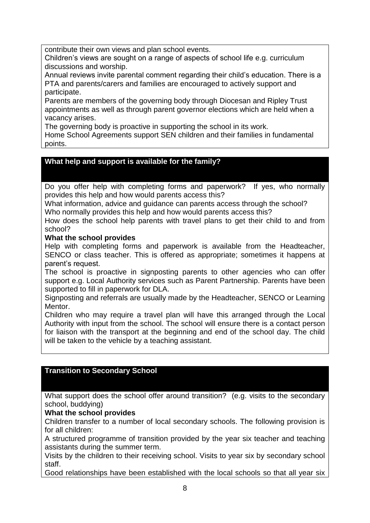contribute their own views and plan school events.

Children's views are sought on a range of aspects of school life e.g. curriculum discussions and worship.

Annual reviews invite parental comment regarding their child's education. There is a PTA and parents/carers and families are encouraged to actively support and participate.

Parents are members of the governing body through Diocesan and Ripley Trust appointments as well as through parent governor elections which are held when a vacancy arises.

The governing body is proactive in supporting the school in its work.

Home School Agreements support SEN children and their families in fundamental points.

# **What help and support is available for the family?**

Do you offer help with completing forms and paperwork? If yes, who normally provides this help and how would parents access this?

What information, advice and quidance can parents access through the school? Who normally provides this help and how would parents access this?

How does the school help parents with travel plans to get their child to and from school?

### **What the school provides**

Help with completing forms and paperwork is available from the Headteacher, SENCO or class teacher. This is offered as appropriate; sometimes it happens at parent's request.

The school is proactive in signposting parents to other agencies who can offer support e.g. Local Authority services such as Parent Partnership. Parents have been supported to fill in paperwork for DLA.

Signposting and referrals are usually made by the Headteacher, SENCO or Learning **Mentor** 

Children who may require a travel plan will have this arranged through the Local Authority with input from the school. The school will ensure there is a contact person for liaison with the transport at the beginning and end of the school day. The child will be taken to the vehicle by a teaching assistant.

# **Transition to Secondary School**

What support does the school offer around transition? (e.g. visits to the secondary school, buddying)

# **What the school provides**

Children transfer to a number of local secondary schools. The following provision is for all children:

A structured programme of transition provided by the year six teacher and teaching assistants during the summer term.

Visits by the children to their receiving school. Visits to year six by secondary school staff.

Good relationships have been established with the local schools so that all year six